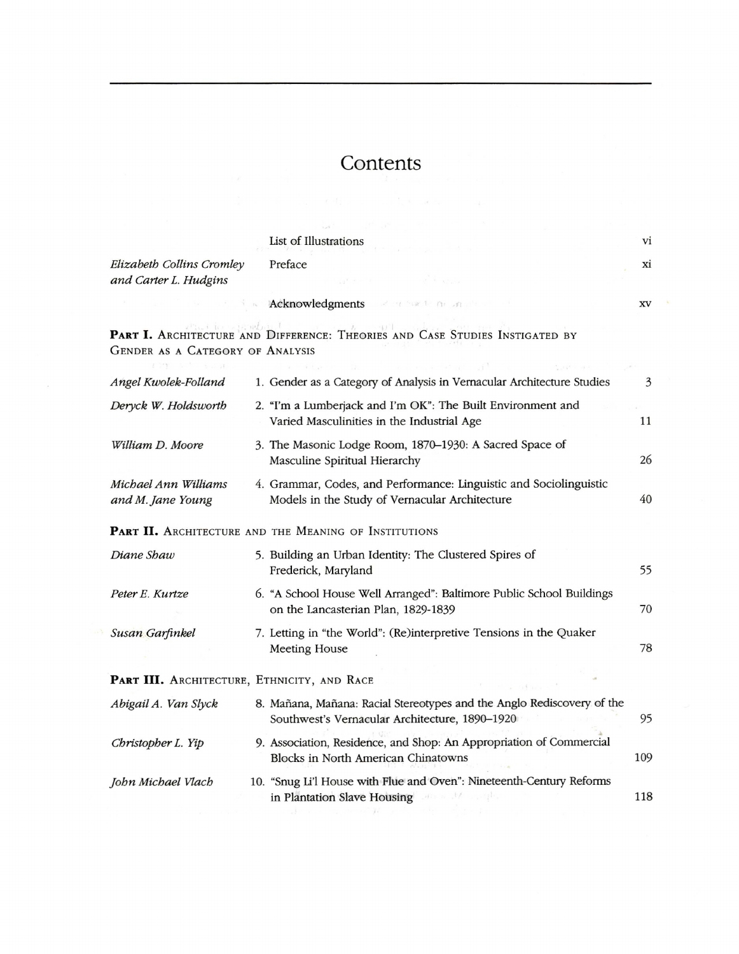## **Contents**

|                                                    | List of Illustrations                                                                                                    | vi        |
|----------------------------------------------------|--------------------------------------------------------------------------------------------------------------------------|-----------|
| Elizabeth Collins Cromley<br>and Carter L. Hudgins | Preface                                                                                                                  | xi        |
|                                                    | Acknowledgments and the most most                                                                                        | <b>XV</b> |
| GENDER AS A CATEGORY OF ANALYSIS                   | PART I. ARCHITECTURE AND DIFFERENCE: THEORIES AND CASE STUDIES INSTIGATED BY                                             |           |
| Angel Kwolek-Folland                               | 1. Gender as a Category of Analysis in Vernacular Architecture Studies                                                   | 3         |
| Deryck W. Holdsworth                               | 2. "I'm a Lumberjack and I'm OK": The Built Environment and<br>Varied Masculinities in the Industrial Age                | 11        |
| William D. Moore                                   | 3. The Masonic Lodge Room, 1870-1930: A Sacred Space of<br>Masculine Spiritual Hierarchy                                 | 26        |
| Michael Ann Williams<br>and M. Jane Young          | 4. Grammar, Codes, and Performance: Linguistic and Sociolinguistic<br>Models in the Study of Vernacular Architecture     | 40        |
|                                                    | PART II. ARCHITECTURE AND THE MEANING OF INSTITUTIONS                                                                    |           |
| Diane Shaw                                         | 5. Building an Urban Identity: The Clustered Spires of<br>Frederick, Maryland                                            | 55        |
| Peter E. Kurtze                                    | 6. "A School House Well Arranged": Baltimore Public School Buildings<br>on the Lancasterian Plan, 1829-1839              | 70        |
| Susan Garfinkel                                    | 7. Letting in "the World": (Re)interpretive Tensions in the Quaker<br><b>Meeting House</b>                               | 78        |
| PART III. ARCHITECTURE, ETHNICITY, AND RACE        |                                                                                                                          |           |
| Abigail A. Van Slyck                               | 8. Mañana, Mañana: Racial Stereotypes and the Anglo Rediscovery of the<br>Southwest's Vernacular Architecture, 1890-1920 | 95        |
| Christopher L. Yip                                 | 9. Association, Residence, and Shop: An Appropriation of Commercial<br>Blocks in North American Chinatowns               | 109       |
| John Michael Vlach                                 | 10. "Snug Li'l House with Flue and Oven": Nineteenth-Century Reforms<br>in Plantation Slave Housing                      | 118       |

and the most of the se-